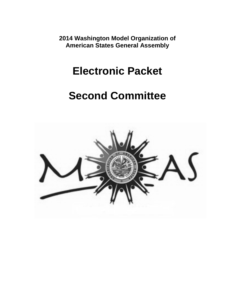**2014 Washington Model Organization of American States General Assembly**

# **Electronic Packet**

# **Second Committee**

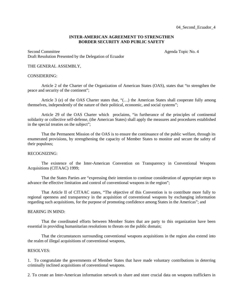04\_Second\_Ecuador\_4

## **INTER-AMERICAN AGREEMENT TO STRENGTHEN BORDER SECURITY AND PUBLIC SAFETY**

Second Committee Agenda Topic No. 4 Draft Resolution Presented by the Delegation of Ecuador

#### THE GENERAL ASSEMBLY,

#### CONSIDERING:

Article 2 of the Charter of the Organization of American States (OAS), states that "to strengthen the peace and security of the continent";

Article 3 (e) of the OAS Charter states that, "(…) the American States shall cooperate fully among themselves, independently of the nature of their political, economic, and social systems";

Article 29 of the OAS Charter which proclaims, "in furtherance of the principles of continental solidarity or collective self-defense, (the American States) shall apply the measures and procedures established in the special treaties on the subject";

That the Permanent Mission of the OAS is to ensure the continuance of the public welfare, through its enumerated provisions, by strengthening the capacity of Member States to monitor and secure the safety of their populous;

#### RECOGNIZING:

The existence of the Inter-American Convention on Transparency in Conventional Weapons Acquisitions (CITAAC) 1999;

That the States Parties are "expressing their intention to continue consideration of appropriate steps to advance the effective limitation and control of conventional weapons in the region";

That Article II of CITAAC states, "The objective of this Convention is to contribute more fully to regional openness and transparency in the acquisition of conventional weapons by exchanging information regarding such acquisitions, for the purpose of promoting confidence among States in the Americas"; and

#### BEARING IN MIND:

That the coordinated efforts between Member States that are party to this organization have been essential in providing humanitarian resolutions to threats on the public domain;

 That the circumstances surrounding conventional weapons acquisitions in the region also extend into the realm of illegal acquisitions of conventional weapons,

#### RESOLVES:

1. To congratulate the governments of Member States that have made voluntary contributions in deterring criminally inclined acquisitions of conventional weapons.

2. To create an Inter-American information network to share and store crucial data on weapons traffickers in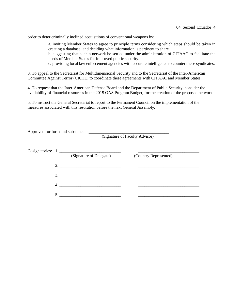order to deter criminally inclined acquisitions of conventional weapons by:

a. inviting Member States to agree to principle terms considering which steps should be taken in creating a database, and deciding what information is pertinent to share.

b. suggesting that such a network be settled under the administration of CITAAC to facilitate the needs of Member States for improved public security.

c. providing local law enforcement agencies with accurate intelligence to counter these syndicates.

3. To appeal to the Secretariat for Multidimensional Security and to the Secretariat of the Inter-American Committee Against Terror (CICTE) to coordinate these agreements with CITAAC and Member States.

4. To request that the Inter-American Defense Board and the Department of Public Security, consider the availability of financial resources in the 2015 OAS Program Budget, for the creation of the proposed network.

5. To instruct the General Secretariat to report to the Permanent Council on the implementation of the measures associated with this resolution before the next General Assembly.

| Approved for form and substance:<br>(Signature of Faculty Advisor) |    |                         |                       |  |
|--------------------------------------------------------------------|----|-------------------------|-----------------------|--|
|                                                                    |    |                         |                       |  |
|                                                                    |    | (Signature of Delegate) | (Country Represented) |  |
|                                                                    |    | 2.                      |                       |  |
|                                                                    |    | 3.                      |                       |  |
|                                                                    | 4. |                         |                       |  |
|                                                                    | 5. |                         |                       |  |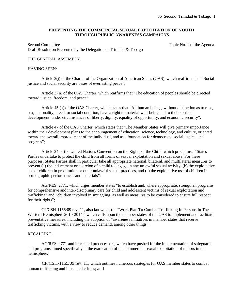## **PREVENTING THE COMMERCIAL SEXUAL EXPLOITATION OF YOUTH THROUGH PUBLIC AWARENESS CAMPAIGNS**

Second Committee Topic No. 1 of the Agenda Draft Resolution Presented by the Delegation of Trinidad & Tobago

# THE GENERAL ASSEMBLY,

## HAVING SEEN:

Article 3(j) of the Charter of the Organization of American States (OAS), which reaffirms that "Social justice and social security are bases of everlasting peace";

Article 3 (n) of the OAS Charter, which reaffirms that "The education of peoples should be directed toward justice, freedom, and peace";

Article 45 (a) of the OAS Charter, which states that "All human beings, without distinction as to race, sex, nationality, creed, or social condition, have a right to material well-being and to their spiritual development, under circumstances of liberty, dignity, equality of opportunity, and economic security";

Article 47 of the OAS Charter, which states that "The Member States will give primary importance within their development plans to the encouragement of education, science, technology, and culture, oriented toward the overall improvement of the individual, and as a foundation for democracy, social justice, and progress";

Article 34 of the United Nations Convention on the Rights of the Child, which proclaims: "States Parties undertake to protect the child from all forms of sexual exploitation and sexual abuse. For these purposes, States Parties shall in particular take all appropriate national, bilateral, and multilateral measures to prevent (a) the inducement or coercion of a child to engage in any unlawful sexual activity, (b) the exploitative use of children in prostitution or other unlawful sexual practices, and (c) the exploitative use of children in pornographic performances and materials";

AG/RES. 2771, which urges member states "to establish and, where appropriate, strengthen programs for comprehensive and inter-disciplinary care for child and adolescent victims of sexual exploitation and trafficking" and "children involved in smuggling, as well as measures to be considered to ensure full respect for their rights";

CP/CSH-1155/09 rev. 11, also known as the "Work Plan To Combat Trafficking In Persons In The Western Hemisphere 2010-2014," which calls upon the member states of the OAS to implement and facilitate preventative measures, including the adoption of "awareness initiatives in member states that receive trafficking victims, with a view to reduce demand, among other things";

## RECALLING:

AG/RES. 2771 and its related predecessors, which have pushed for the implementation of safeguards and programs aimed specifically at the eradication of the commercial sexual exploitation of minors in the hemisphere;

 CP/CSH-1155/09 rev. 11, which outlines numerous strategies for OAS member states to combat human trafficking and its related crimes; and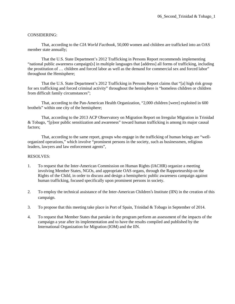## CONSIDERING:

That, according to the *CIA World Factbook*, 50,000 women and children are trafficked into an OAS member state annually;

That the U.S. State Department's 2012 Trafficking in Persons Report recommends implementing "national public awareness campaign[s] in multiple languages that [address] all forms of trafficking, including the prostitution of … children and forced labor as well as the demand for commercial sex and forced labor" throughout the Hemisphere;

That the U.S. State Department's 2012 Trafficking in Persons Report claims that "[a] high risk group for sex trafficking and forced criminal activity" throughout the hemisphere is "homeless children or children from difficult family circumstances";

That, according to the Pan-American Health Organization, "2,000 children [were] exploited in 600 brothels" within one city of the hemisphere;

That, according to the 2013 ACP Observatory on Migration Report on Irregular Migration in Trinidad & Tobago, "[p]oor public sensitization and awareness" toward human trafficking is among its major causal factors;

That, according to the same report, groups who engage in the trafficking of human beings are "wellorganized operations," which involve "prominent persons in the society, such as businessmen, religious leaders, lawyers and law enforcement agents",

- 1. To request that the Inter-American Commission on Human Rights (IACHR) organize a meeting involving Member States, NGOs, and appropriate OAS organs, through the Rapporteurship on the Rights of the Child, in order to discuss and design a hemispheric public awareness campaign against human trafficking, focused specifically upon prominent persons in society.
- 2. To employ the technical assistance of the Inter-American Children's Institute (IIN) in the creation of this campaign.
- 3. To propose that this meeting take place in Port of Spain, Trinidad & Tobago in September of 2014.
- 4. To request that Member States that partake in the program perform an assessment of the impacts of the campaign a year after its implementation and to have the results compiled and published by the International Organization for Migration (IOM) and the IIN.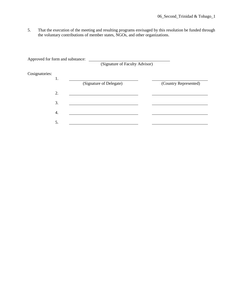5. That the execution of the meeting and resulting programs envisaged by this resolution be funded through the voluntary contributions of member states, NGOs, and other organizations.

| Approved for form and substance: |                                |                       |
|----------------------------------|--------------------------------|-----------------------|
|                                  | (Signature of Faculty Advisor) |                       |
| Cosignatories:<br>1.             |                                |                       |
|                                  | (Signature of Delegate)        | (Country Represented) |
| 2.                               |                                |                       |
| 3.                               |                                |                       |
| 4.                               |                                |                       |
| 5.                               |                                |                       |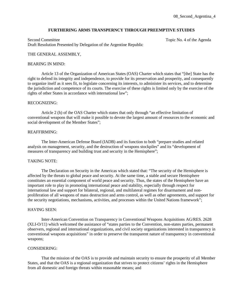## **FURTHERING ARMS TRANSPERNCY THROUGH PREEMPTIVE STUIDES**

Second Committee Topic No. 4 of the Agenda Topic No. 4 of the Agenda Draft Resolution Presented by Delegation of the Argentine Republic

#### THE GENERAL ASSEMBLY,

#### BEARING IN MIND:

Article 13 of the Organization of American States (OAS) Charter which states that "[the] State has the right to defend its integrity and independence, to provide for its preservation and prosperity, and consequently to organize itself as it sees fit, to legislate concerning its interests, to administer its services, and to determine the jurisdiction and competence of its courts. The exercise of these rights is limited only by the exercise of the rights of other States in accordance with international law";

#### RECOGNIZING:

Article 2 (h) of the OAS Charter which states that only through "an effective limitation of conventional weapons that will make it possible to devote the largest amount of resources to the economic and social development of the Member States";

#### REAFFIRMING:

 The Inter-American Defense Board (IADB) and its function to both "prepare studies and related analysis on management, security, and the destruction of weapons stockpiles" and its "development of measures of transparency and building trust and security in the Hemisphere";

#### TAKING NOTE:

The Declaration on Security in the Americas which stated that: "The security of the Hemisphere is affected by the threats to global peace and security. At the same time, a stable and secure Hemisphere constitutes an essential component of world peace and security. Thus, the states of the Hemisphere have an important role to play in promoting international peace and stability, especially through respect for international law and support for bilateral, regional, and multilateral regimes for disarmament and nonproliferation of all weapons of mass destruction and arms control, as well as other agreements, and support for the security negotiations, mechanisms, activities, and processes within the United Nations framework";

## HAVING SEEN:

Inter-American Convention on Transparency in Conventional Weapons Acquisitions AG/RES. 2628 (XLI-O/11) which welcomed the assistance of "states parties to the Convention, non-states parties, permanent observers, regional and international organizations, and civil society organizations interested in transparency in conventional weapons acquisitions" in order to preserve the transparent nature of transparency in conventional weapons;

#### CONSIDERING:

That the mission of the OAS is to provide and maintain security to ensure the prosperity of all Member States, and that the OAS is a regional organization that strives to protect citizens' rights in the Hemisphere from all domestic and foreign threats within reasonable means; and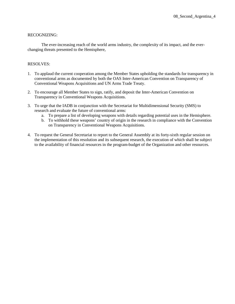# RECOGNIZING:

The ever-increasing reach of the world arms industry, the complexity of its impact, and the everchanging threats presented to the Hemisphere,

- 1. To applaud the current cooperation among the Member States upholding the standards for transparency in conventional arms as documented by both the OAS Inter-American Convention on Transparency of Conventional Weapons Acquisitions and UN Arms Trade Treaty.
- 2. To encourage all Member States to sign, ratify, and deposit the Inter-American Convention on Transparency in Conventional Weapons Acquisitions.
- 3. To urge that the IADB in conjunction with the Secretariat for Multidimensional Security (SMS) to research and evaluate the future of conventional arms:
	- a. To prepare a list of developing weapons with details regarding potential uses in the Hemisphere.
	- b. To withhold these weapons' country of origin in the research in compliance with the Convention on Transparency in Conventional Weapons Acquisitions.
- 4. To request the General Secretariat to report to the General Assembly at its forty-sixth regular session on the implementation of this resolution and its subsequent research, the execution of which shall be subject to the availability of financial resources in the program-budget of the Organization and other resources.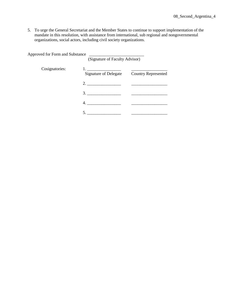5. To urge the General Secretariat and the Member States to continue to support implementation of the mandate in this resolution, with assistance from international, sub regional and nongovernmental organizations, social actors, including civil society organizations.

| Approved for Form and Substance | (Signature of Faculty Advisor) |                            |
|---------------------------------|--------------------------------|----------------------------|
| Cosignatories:                  | Signature of Delegate          | <b>Country Represented</b> |
|                                 | 2.                             |                            |
|                                 | 3.                             |                            |
|                                 | 4.                             |                            |
|                                 |                                |                            |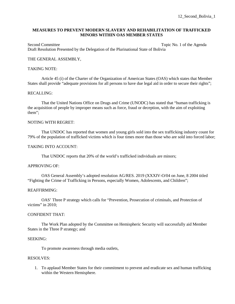## **MEASURES TO PREVENT MODERN SLAVERY AND REHABILITATION OF TRAFFICKED MINORS WITHIN OAS MEMBER STATES**

Second Committee Topic No. 1 of the Agenda Draft Resolution Presented by the Delegation of the Plurinational State of Bolivia

## THE GENERAL ASSEMBLY,

## TAKING NOTE:

Article 45 (i) of the Charter of the Organization of American States (OAS) which states that Member States shall provide "adequate provisions for all persons to have due legal aid in order to secure their rights";

## RECALLING:

That the United Nations Office on Drugs and Crime (UNODC) has stated that "human trafficking is the acquisition of people by improper means such as force, fraud or deception, with the aim of exploiting them";

#### NOTING WITH REGRET:

That UNDOC has reported that women and young girls sold into the sex trafficking industry count for 79% of the population of trafficked victims which is four times more than those who are sold into forced labor;

## TAKING INTO ACCOUNT:

That UNDOC reports that 20% of the world's trafficked individuals are minors;

#### APPROVING OF:

OAS General Assembly's adopted resolution AG/RES. 2019 (XXXIV-O/04 on June, 8 2004 titled "Fighting the Crime of Trafficking in Persons, especially Women, Adolescents, and Children";

### REAFFIRMING:

OAS' Three P strategy which calls for "Prevention, Prosecution of criminals, and Protection of victims" in 2010:

## CONFIDENT THAT:

The Work Plan adopted by the Committee on Hemispheric Security will successfully aid Member States in the Three P strategy; and

## SEEKING:

To promote awareness through media outlets,

## RESOLVES:

1. To applaud Member States for their commitment to prevent and eradicate sex and human trafficking within the Western Hemisphere.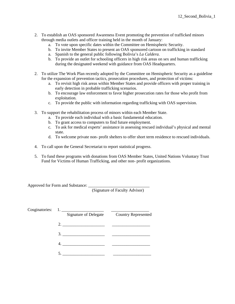- 2. To establish an OAS sponsored Awareness Event promoting the prevention of trafficked minors through media outlets and officer training held in the month of January:
	- a. To vote upon specific dates within the Committee on Hemispheric Security.
	- b. To invite Member States to present an OAS sponsored cartoon on trafficking in standard
	- a. Spanish to the general public following Bolivia's *La Caldera*.
	- b. To provide an outlet for schooling officers in high risk areas on sex and human trafficking during the designated weekend with guidance from OAS Headquarters.
- 2. To utilize The Work Plan recently adopted by the Committee on Hemispheric Security as a guideline for the expansion of prevention tactics, prosecution procedures, and protection of victims:
	- a. To revisit high risk areas within Member States and provide officers with proper training in early detection in probable trafficking scenarios.
	- b. To encourage law enforcement to favor higher prosecution rates for those who profit from exploitation.
	- c. To provide the public with information regarding trafficking with OAS supervision.
- 3. To support the rehabilitation process of minors within each Member State.
	- a. To provide each individual with a basic fundamental education.
	- b. To grant access to computers to find future employment.
	- c. To ask for medical experts' assistance in assessing rescued individual's physical and mental state.
	- d. To welcome private non- profit shelters to offer short term residence to rescued individuals.
- 4. To call upon the General Secretariat to report statistical progress.
- 5. To fund these programs with donations from OAS Member States, United Nations Voluntary Trust Fund for Victims of Human Trafficking, and other non- profit organizations.

Approved for Form and Substance:

(Signature of Faculty Advisor)

|  | Cosginatories: |  |
|--|----------------|--|
|  |                |  |

| Cosginatories: 1.                           |  |
|---------------------------------------------|--|
| Signature of Delegate Country Represented   |  |
|                                             |  |
| 3.                                          |  |
| <u> 1980 - Jan Samuel Barbara, martin a</u> |  |
|                                             |  |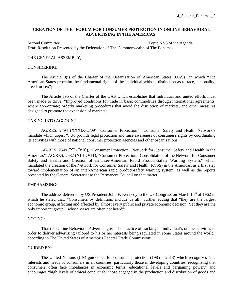## **CREATION OF THE "FORUM FOR CONSUMER PROTECTION IN ONLINE BEHAVIORAL ADVERTISING IN THE AMERICAS"**

Second Committee Topic No.3 of the Agenda Draft Resolution Presented by the Delegation of The Commonwealth of The Bahamas

#### THE GENERAL ASSEMBLY,

#### CONSIDERING:

The Article 3(i) of the Charter of the Organization of American States (OAS) in which "The American States proclaim the fundamental rights of the individual without distinction as to race, nationality, creed, or sex";

The Article 39b of the Charter of the OAS which establishes that individual and united efforts must been made to drive: "Improved conditions for trade in basic commodities through international agreements, where appropriate; orderly marketing procedures that avoid the disruption of markets, and other measures designed to promote the expansion of markets";

## TAKING INTO ACCOUNT:

AG/RES. 2494 (XXXIX-O/09) "Consumer Protection" Consumer Safety and Health Network's mandate which urges: "…to provide legal protection and raise awareness of consumer's rights by coordinating its activities with those of national consumer protection agencies and other organizations";

AG/RES. 2549 (XL-O/10), "Consumer Protection: Network for Consumer Safety and Health in the Americas"; AG/RES. 2682 (XLI-O/11), "Consumer Protection: Consolidation of the Network for Consumer Safety and Health and Creation of an Inter-American Rapid Product-Safety Warning System," which mandated the creation of the Network for Consumer Safety and Health (RCSS) in the Americas, as a first step toward implementation of an inter-American rapid product-safety warning system, as well as the reports presented by the General Secretariat to the Permanent Council on that matter;

#### EMPHASIZING:

The address delivered by US President John F. Kennedy to the US Congress on March 15<sup>th</sup> of 1962 in which he stated that: "Consumers by definition, include us all," further adding that "they are the largest economic group, affecting and affected by almost every public and private economic decision. Yet they are the only important group... whose views are often not heard";

#### NOTING:

That the Online Behavioral Advertising is "The practice of tracking an individual's online activities in order to deliver advertising tailored to his or her interests being regulated in some States around the world" according to The United States of America's Federal Trade Commission;

## GUIDED BY:

The United Nations (UN) guidelines for consumer protection (1985 – 2013) which recognizes "the interests and needs of consumers in all countries, particularly those in developing countries; recognizing that consumers often face imbalances in economic terms, educational levels and bargaining power;" and encourages "high levels of ethical conduct for those engaged in the production and distribution of goods and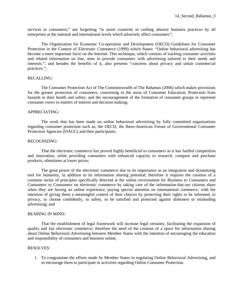services to consumers;" not forgetting "to assist countries in curbing abusive business practices by all enterprises at the national and international levels which adversely affect consumers";

 The Organization for Economic Co-operation and Development (OECD) Guidelines for Consumer Protection in the Context of Electronic Commerce (1999) which States: "Online behavioral advertising has become a more important force on the Internet. This technique, which consists of tracking consumer activities and related information on line, aims to provide consumers with advertising tailored to their needs and interests."; and besides the benefits of it, also presents "concerns about privacy and unfair commercial practices.";

#### RECALLING:

The Consumer Protection Act of The Commonwealth of The Bahamas (2006) which makes provisions for the greater protection of consumers, concerning in the areas of Consumer Education; Protection from hazards to their health and safety; and the encouragement of the formation of consumer groups to represent consumer views in matters of interest and decision making;

#### APPRECIATING:

The work that has been made on online behavioral advertising by fully committed organizations regarding consumer protection such as, the OECD, the Ibero-American Forum of Governmental Consumer Protection Agencies (FIAGC) and their participants;

#### RECOGNIZING:

That the electronic commerce has proved highly beneficial to consumers as it has fuelled competition and innovation, while providing consumers with enhanced capacity to research, compare and purchase products, oftentimes at lower prices;

The great power of the electronic commerce due to its importance as an integration and dynamizing tool for humanity, in addition to its information sharing potential; therefore it requires the creation of a common series of principles specifically directed at the online environment for Business to Consumers and Consumers to Consumers on electronic commerce by taking care of the information that our citizens share when they are having an online experience, paying special attention on international commerce, with the intention of giving them a meaningful control of their choices by protecting their rights to be informed, to privacy, to choose confidently, to safety, to be satisfied and protected against dishonest or misleading advertising; and

#### BEARING IN MIND:

That the establishment of legal framework will increase legal certainty, facilitating the expansion of quality and fair electronic commerce; therefore the need of the creation of a space for information sharing about Online Behavioral Advertising between Member States with the intention of encouraging the education and responsibility of consumers and business online,

## RESOLVES:

1. To congratulate the efforts made by Member States in regulating Online Behavioral Advertising, and to encourage them to participate in activities regarding Online Consumer Protection.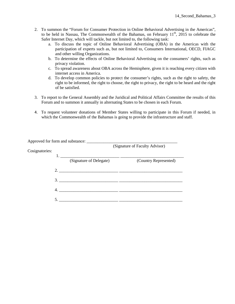- 2. To summon the "Forum for Consumer Protection in Online Behavioral Advertising in the Americas", to be held in Nassau, The Commonwealth of the Bahamas, on February  $11<sup>th</sup>$ , 2015 to celebrate the Safer Internet Day, which will tackle, but not limited to, the following task:
	- a. To discuss the topic of Online Behavioral Advertising (OBA) in the Americas with the participation of experts such as, but not limited to, Consumers International, OECD, FIAGC and other willing Organizations.
	- b. To determine the effects of Online Behavioral Advertising on the consumers' rights, such as privacy violation.
	- c. To spread awareness about OBA across the Hemisphere, given it is reaching every citizen with internet access in America.
	- d. To develop common policies to protect the consumer's rights, such as the right to safety, the right to be informed, the right to choose, the right to privacy, the right to be heard and the right of be satisfied.
- 3. To report to the General Assembly and the Juridical and Political Affairs Committee the results of this Forum and to summon it annually in alternating States to be chosen in each Forum.
- 4. To request volunteer donations of Member States willing to participate in this Forum if needed, in which the Commonwealth of the Bahamas is going to provide the infrastructure and staff.

|                |    | (Signature of Faculty Advisor) |                       |  |
|----------------|----|--------------------------------|-----------------------|--|
| Cosignatories: |    |                                |                       |  |
|                |    |                                |                       |  |
|                |    | (Signature of Delegate)        | (Country Represented) |  |
|                |    |                                |                       |  |
|                |    |                                |                       |  |
|                |    |                                |                       |  |
|                |    | 3.                             |                       |  |
|                |    |                                |                       |  |
|                | 4. |                                |                       |  |
|                |    |                                |                       |  |
|                |    |                                |                       |  |
|                |    |                                |                       |  |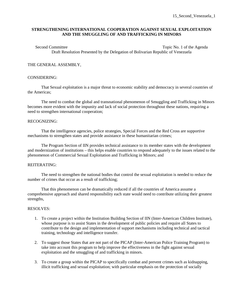## **STRENGTHENING INTERNATIONAL COOPERATION AGAINST SEXUAL EXPLOITATION AND THE SMUGGLING OF AND TRAFFICKING IN MINORS**

Second Committee Topic No. 1 of the Agenda Draft Resolution Presented by the Delegation of Bolivarian Republic of Venezuela

## THE GENERAL ASSEMBLY,

## CONSIDERING:

That Sexual exploitation is a major threat to economic stability and democracy in several countries of the Americas;

 The need to combat the global and transnational phenomenon of Smuggling and Trafficking in Minors becomes more evident with the impunity and lack of social protection throughout these nations, requiring a need to strengthen international cooperation;

## RECOGNIZING:

That the intelligence agencies, police strategies, Special Forces and the Red Cross are supportive mechanisms to strengthen states and provide assistance in these humanitarian crimes;

The Program Section of IIN provides technical assistance to its member states with the development and modernization of institutions – this helps enable countries to respond adequately to the issues related to the phenomenon of Commercial Sexual Exploitation and Trafficking in Minors; and

#### REITERATING:

 The need to strengthen the national bodies that control the sexual exploitation is needed to reduce the number of crimes that occur as a result of trafficking;

That this phenomenon can be dramatically reduced if all the countries of America assume a comprehensive approach and shared responsibility each state would need to contribute utilizing their greatest strengths,

- 1. To create a project within the Institution Building Section of IIN (Inter-American Children Institute), whose purpose is to assist States in the development of public policies and require all States to contribute to the design and implementation of support mechanisms including technical and tactical training, technology and intelligence transfer.
- 2. To suggest those States that are not part of the PICAP (Inter-American Police Training Program) to take into account this program to help improve the effectiveness in the fight against sexual exploitation and the smuggling of and trafficking in minors.
- 3. To create a group within the PICAP to specifically combat and prevent crimes such as kidnapping, illicit trafficking and sexual exploitation; with particular emphasis on the protection of socially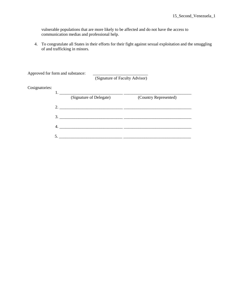vulnerable populations that are more likely to be affected and do not have the access to communication medias and professional help.

4. To congratulate all States in their efforts for their fight against sexual exploitation and the smuggling of and trafficking in minors.

| Approved for form and substance: |                                                                                                                                                                                                                                                                                                                                                                                                                                                       |                         | (Signature of Faculty Advisor) |  |
|----------------------------------|-------------------------------------------------------------------------------------------------------------------------------------------------------------------------------------------------------------------------------------------------------------------------------------------------------------------------------------------------------------------------------------------------------------------------------------------------------|-------------------------|--------------------------------|--|
| Cosignatories:                   |                                                                                                                                                                                                                                                                                                                                                                                                                                                       |                         |                                |  |
|                                  | $\begin{tabular}{ccccc} \multicolumn{2}{c }{\textbf{1} & \multicolumn{2}{c }{\textbf{2} & \multicolumn{2}{c }{\textbf{3} & \multicolumn{2}{c }{\textbf{4} & \multicolumn{2}{c }{\textbf{5} & \multicolumn{2}{c }{\textbf{6} & \multicolumn{2}{c }{\textbf{6} & \multicolumn{2}{c }{\textbf{6} & \multicolumn{2}{c }{\textbf{6} & \multicolumn{2}{c }{\textbf{6} & \multicolumn{2}{c }{\textbf{6} & \multicolumn{2}{c }{\textbf{6} & \multicolumn{2}{$ | (Signature of Delegate) | (Country Represented)          |  |
|                                  |                                                                                                                                                                                                                                                                                                                                                                                                                                                       | 2.                      |                                |  |
|                                  |                                                                                                                                                                                                                                                                                                                                                                                                                                                       | 3.                      |                                |  |
|                                  | 4.                                                                                                                                                                                                                                                                                                                                                                                                                                                    |                         |                                |  |
|                                  | $\leq$                                                                                                                                                                                                                                                                                                                                                                                                                                                |                         |                                |  |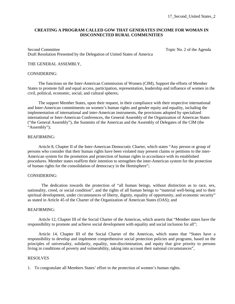## **CREATING A PROGRAM CALLED GOW THAT GENERATES INCOME FOR WOMAN IN DISCONNECTED RURAL COMMUNITIES**

## Second Committee Topic No. 2 of the Agenda Draft Resolution Presented by the Delegation of United States of America

#### THE GENERAL ASSEMBLY,

#### CONSIDERING:

The functions on the Inter-American Commission of Women (CIM), Support the efforts of Member States to promote full and equal access, participation, representation, leadership and influence of women in the civil, political, economic, social, and cultural spheres;

The support Member States, upon their request, in their compliance with their respective international and Inter-American commitments on women's human rights and gender equity and equality, including the implementation of international and inter-American instruments, the provisions adopted by specialized international or Inter-American Conferences, the General Assembly of the Organization of American States ("the General Assembly"), the Summits of the Americas and the Assembly of Delegates of the CIM (the "Assembly");

#### REAFIRMING:

Article 8, Chapter II of the Inter-American Democratic Charter, which states "Any person or group of persons who consider that their human rights have been violated may present claims or petitions to the inter-American system for the promotion and protection of human rights in accordance with its established procedures. Member states reaffirm their intention to strengthen the inter-American system for the protection of human rights for the consolidation of democracy in the Hemisphere";

#### CONSIDERING:

The dedication towards the protection of "all human beings, without distinction as to race, sex, nationality, creed, or social condition", and the rights of all human beings to "material well-being and to their spiritual development, under circumstances of liberty, dignity, equality of opportunity, and economic security" as stated in Article 45 of the Charter of the Organization of American States (OAS); and

#### REAFIRMING:

Article 12, Chapter III of the Social Charter of the Americas, which asserts that "Member states have the responsibility to promote and achieve social development with equality and social inclusion for all";

Article 14, Chapter III of the Social Charter of the Americas, which states that "States have a responsibility to develop and implement comprehensive social protection policies and programs, based on the principles of universality, solidarity, equality, non-discrimination, and equity that give priority to persons living in conditions of poverty and vulnerability, taking into account their national circumstances",

#### RESOLVES

1. To congratulate all Members States' effort in the protection of women's human rights.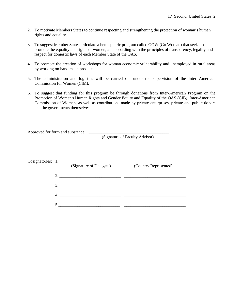- 2. To motivate Members States to continue respecting and strengthening the protection of woman's human rights and equality.
- 3. To suggest Member States articulate a hemispheric program called GOW (Go Woman) that seeks to promote the equality and rights of women, and according with the principles of transparency, legality and respect for domestic laws of each Member State of the OAS.
- 4. To promote the creation of workshops for woman economic vulnerability and unemployed in rural areas by working on hand made products.
- 5. The administration and logistics will be carried out under the supervision of the Inter American Commission for Women (CIM).
- 6. To suggest that funding for this program be through donations from Inter-American Program on the Promotion of Women's Human Rights and Gender Equity and Equality of the OAS (CIB), Inter-American Commission of Women, as well as contributions made by private enterprises, private and public donors and the governments themselves.

| Approved for form and substance: |                                |
|----------------------------------|--------------------------------|
|                                  | (Signature of Faculty Advisor) |

|    | Cosignatories: 1.       |                       |  |
|----|-------------------------|-----------------------|--|
|    | (Signature of Delegate) | (Country Represented) |  |
|    | 2.                      |                       |  |
| 3. |                         |                       |  |
|    |                         |                       |  |
|    |                         |                       |  |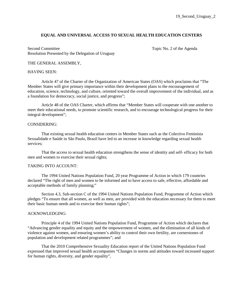## **EQUAL AND UNIVERSAL ACCESS TO SEXUAL HEALTH EDUCATION CENTERS**

Second Committee Topic No. 2 of the Agenda Resolution Presented by the Delegation of Uruguay

### THE GENERAL ASSEMBLY,

#### HAVING SEEN:

Article 47 of the Charter of the Organization of American States (OAS) which proclaims that "The Member States will give primary importance within their development plans to the encouragement of education, science, technology, and culture, oriented toward the overall improvement of the individual, and as a foundation for democracy, social justice, and progress";

Article 48 of the OAS Charter, which affirms that "Member States will cooperate with one another to meet their educational needs, to promote scientific research, and to encourage technological progress for their integral development";

## CONSIDERING:

 That existing sexual health education centers in Member States such as the Colectivo Feminista Sexualidade e Saúde in São Paulo, Brazil have led to an increase in knowledge regarding sexual health services;

That the access to sexual health education strengthens the sense of identity and self- efficacy for both men and women to exercise their sexual rights;

## TAKING INTO ACCOUNT:

The 1994 United Nations Population Fund, 20 year Programme of Action in which 179 countries declared "The right of men and women to be informed and to have access to safe, effective, affordable and acceptable methods of family planning;"

Section 4.3, Sub-section C of the 1994 United Nations Population Fund, Programme of Action which pledges "To ensure that all women, as well as men, are provided with the education necessary for them to meet their basic human needs and to exercise their human rights";

## ACKNOWLEDGING:

 Principle 4 of the 1994 United Nations Population Fund, Programme of Action which declares that "Advancing gender equality and equity and the empowerment of women, and the elimination of all kinds of violence against women, and ensuring women's ability to control their own fertility, are cornerstones of population and development related programmes"; and

That the 2010 Comprehensive Sexuality Education report of the United Nations Population Fund expressed that improved sexual health accompanies "Changes in norms and attitudes toward increased support for human rights, diversity, and gender equality",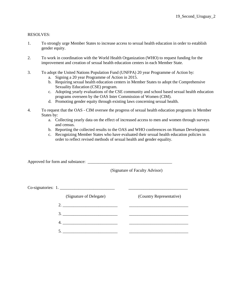## RESOLVES:

- 1. To strongly urge Member States to increase access to sexual health education in order to establish gender equity.
- 2. To work in coordination with the World Health Organization (WHO) to request funding for the improvement and creation of sexual health education centers in each Member State.
- 3. To adopt the United Nations Population Fund (UNFPA) 20 year Programme of Action by:
	- a. Signing a 20 year Programme of Action in 2015.
	- b. Requiring sexual health education centers in Member States to adopt the Comprehensive Sexuality Education (CSE) program.
	- c. Adopting yearly evaluations of the CSE community and school based sexual health education programs overseen by the OAS Inter Commission of Women (CIM).
	- d. Promoting gender equity through existing laws concerning sexual health.
- 4. To request that the OAS CIM oversee the progress of sexual health education programs in Member States by:
	- a. Collecting yearly data on the effect of increased access to men and women through surveys and census.
	- b. Reporting the collected results to the OAS and WHO conferences on Human Development.
	- c. Recognizing Member States who have evaluated their sexual health education policies in order to reflect revised methods of sexual health and gender equality.

Approved for form and substance: \_\_\_\_\_\_\_\_\_\_\_\_\_\_\_\_\_\_\_\_\_\_\_\_\_\_\_\_\_\_\_\_\_\_\_\_\_\_\_\_

(Signature of Faculty Advisor)

|    | $Co-signatories: 1.$    |                          |
|----|-------------------------|--------------------------|
|    | (Signature of Delegate) | (Country Representative) |
|    |                         |                          |
|    | 3.                      |                          |
| 4. |                         |                          |
|    |                         |                          |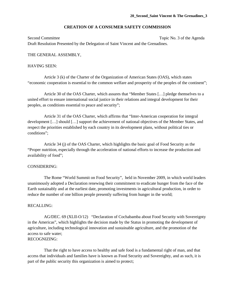## **CREATION OF A CONSUMER SAFETY COMMISSION**

Second Committee Topic No. 3 of the Agenda Draft Resolution Presented by the Delegation of Saint Vincent and the Grenadines.

# THE GENERAL ASSEMBLY,

## HAVING SEEN:

Article 3 (k) of the Charter of the Organization of American States (OAS), which states "economic cooperation is essential to the common welfare and prosperity of the peoples of the continent";

Article 30 of the OAS Charter, which assures that "Member States […] pledge themselves to a united effort to ensure international social justice in their relations and integral development for their peoples, as conditions essential to peace and security";

Article 31 of the OAS Charter, which affirms that "Inter-American cooperation for integral development […] should […] support the achievement of national objectives of the Member States, and respect the priorities established by each country in its development plans, without political ties or conditions";

Article 34 (j) of the OAS Charter, which highlights the basic goal of Food Security as the "Proper nutrition, especially through the acceleration of national efforts to increase the production and availability of food";

## CONSIDERING:

The Rome "World Summit on Food Security", held in November 2009, in which world leaders unanimously adopted a Declaration renewing their commitment to eradicate hunger from the face of the Earth sustainably and at the earliest date, promoting investments in agricultural production, in order to reduce the number of one billion people presently suffering from hunger in the world;

## RECALLING:

AG/DEC. 69 (XLII-O/12) "Declaration of Cochabamba about Food Security with Sovereignty in the Americas", which highlights the decision made by the Status in promoting the development of agriculture, including technological innovation and sustainable agriculture, and the promotion of the access to safe water; RECOGNIZING:

That the right to have access to healthy and safe food is a fundamental right of man, and that access that individuals and families have is known as Food Security and Sovereighty, and as such, it is part of the public security this organization is aimed to protect;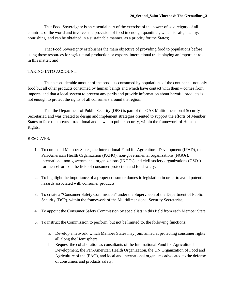That Food Sovereignty is an essential part of the exercise of the power of sovereignty of all countries of the world and involves the provision of food in enough quantities, which is safe, healthy, nourishing, and can be obtained in a sustainable manner, as a priority for the States;

That Food Sovereignty establishes the main objective of providing food to populations before using those resources for agricultural production or exports, international trade playing an important role in this matter; and

# TAKING INTO ACCOUNT:

That a considerable amount of the products consumed by populations of the continent – not only food but all other products consumed by human beings and which have contact with them – comes from imports, and that a local system to prevent any perils and provide information about harmful products is not enough to protect the rights of all consumers around the region;

That the Department of Public Security (DPS) is part of the OAS Multidimensional Security Secretariat, and was created to design and implement strategies oriented to support the efforts of Member States to face the threats – traditional and new – to public security, within the framework of Human Rights,

- 1. To commend Member States, the International Fund for Agricultural Development (IFAD), the Pan-American Health Organization (PAHO), non-governmental organizations (NGOs), international non-governmental organizations (INGOs) and civil society organizations (CSOs) – for their efforts on the field of consumer protection and food safety.
- 2. To highlight the importance of a proper consumer domestic legislation in order to avoid potential hazards associated with consumer products.
- 3. To create a "Consumer Safety Commission" under the Supervision of the Department of Public Security (DSP), within the framework of the Multidimensional Security Secretariat.
- 4. To appoint the Consumer Safety Commission by specialists in this field from each Member State.
- 5. To instruct the Commission to perform, but not be limited to, the following functions:
	- a. Develop a network, which Member States may join, aimed at protecting consumer rights all along the Hemisphere.
	- b. Request the collaboration as consultants of the International Fund for Agricultural Development, the Pan-American Health Organization, the UN Organization of Food and Agriculture of the (FAO), and local and international organisms advocated to the defense of consumers and products safety.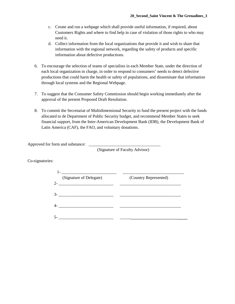- c. Create and run a webpage which shall provide useful information, if required, about Customers Rights and where to find help in case of violation of those rights to who may need it.
- d. Collect information from the local organizations that provide it and wish to share that information with the regional network, regarding the safety of products and specific information about defective productions.
- 6. To encourage the selection of teams of specialists in each Member State, under the direction of each local organization in charge, in order to respond to consumers' needs to detect defective productions that could harm the health or safety of populations, and disseminate that information through local systems and the Regional Webpage.
- 7. To suggest that the Consumer Safety Commission should begin working immediately after the approval of the present Proposed Draft Resolution.
- 8. To commit the Secretariat of Multidimensional Security to fund the present project with the funds allocated to de Department of Public Security budget, and recommend Member States to seek financial support, from the Inter-American Development Bank (IDB), the Development Bank of Latin America (CAF), the FAO, and voluntary donations.

Approved for form and substance:

(Signature of Faculty Advisor)

Co-signatories: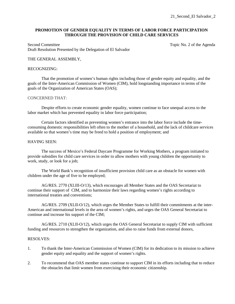## **PROMOTION OF GENDER EQUALITY IN TERMS OF LABOR FORCE PARTICIPATION THROUGH THE PROVISION OF CHILD CARE SERVICES**

Second Committee Topic No. 2 of the Agenda Draft Resolution Presented by the Delegation of El Salvador

## THE GENERAL ASSEMBLY,

#### RECOGNIZING:

That the promotion of women's human rights including those of gender equity and equality, and the goals of the Inter-American Commission of Women (CIM), hold longstanding importance in terms of the goals of the Organization of American States (OAS);

## CONCERNED THAT:

Despite efforts to create economic gender equality, women continue to face unequal access to the labor market which has prevented equality in labor force participation;

Certain factors identified as preventing women's entrance into the labor force include the timeconsuming domestic responsibilities left often to the mother of a household, and the lack of childcare services available so that women's time may be freed to hold a position of employment; and

#### HAVING SEEN:

The success of Mexico's Federal Daycare Programme for Working Mothers, a program initiated to provide subsidies for child care services in order to allow mothers with young children the opportunity to work, study, or look for a job;

The World Bank's recognition of insufficient provision child care as an obstacle for women with children under the age of five to be employed;

AG/RES. 2770 (XLIII-O/13), which encourages all Member States and the OAS Secretariat to continue their support of CIM, and to harmonize their laws regarding women's rights according to international treaties and conventions;

AG/RES. 2709 (XLII-O/12), which urges the Member States to fulfill their commitments at the inter-American and international levels in the area of women's rights, and urges the OAS General Secretariat to continue and increase his support of the CIM;

AG/RES. 2710 (XLII-O/12), which urges the OAS General Secretariat to supply CIM with sufficient funding and resources to strengthen the organization, and also to raise funds from external donors,

- 1. To thank the Inter-American Commission of Women (CIM) for its dedication to its mission to achieve gender equity and equality and the support of women's rights.
- 2. To recommend that OAS member states continue to support CIM in its efforts including that to reduce the obstacles that limit women from exercising their economic citizenship.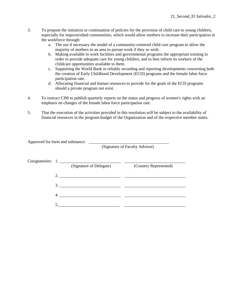- 3. To propose the initiation or continuation of policies for the provision of child care to young children, especially for impoverished communities, which would allow mothers to increase their participation in the workforce through:
	- a. The use if necessary the model of a community-centered child care program to allow the majority of mothers in an area to pursue work if they so wish.
	- b. Making available to work facilities and governmental programs the appropriate training in order to provide adequate care for young children, and to best inform its workers of the childcare opportunities available to them.
	- c. Supporting the World Bank in reliably recording and reporting developments concerning both the creation of Early Childhood Development (ECD) programs and the female labor force participation rate.
	- d. Allocating financial and human resources to provide for the goals of the ECD programs should a private program not exist.
- 4. To instruct CIM to publish quarterly reports on the status and progress of women's rights with an emphasis on changes of the female labor force participation rate.
- 5. That the execution of the activities provided in this resolution will be subject to the availability of financial resources in the program-budget of the Organization and of the respective member states.

Approved for form and substance:

(Signature of Faculty Advisor)

|    | (Signature of Delegate) | (Country Represented)         |  |
|----|-------------------------|-------------------------------|--|
|    |                         |                               |  |
|    |                         |                               |  |
| 4. |                         |                               |  |
|    |                         |                               |  |
|    |                         | Cosignatories: 1.<br>2.<br>3. |  |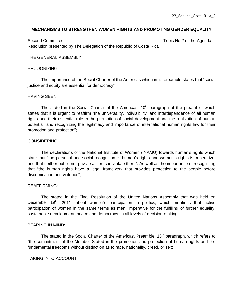# **MECHANISMS TO STRENGTHEN WOMEN RIGHTS AND PROMOTING GENDER EQUALITY**

Second Committee Topic No.2 of the Agenda Resolution presented by The Delegation of the Republic of Costa Rica

# THE GENERAL ASSEMBLY,

## RECOGNIZING:

The importance of the Social Charter of the Americas which in its preamble states that "social justice and equity are essential for democracy";

## HAVING SEEN:

The stated in the Social Charter of the Americas,  $10<sup>th</sup>$  paragraph of the preamble, which states that it is urgent to reaffirm "the universality, indivisibility, and interdependence of all human rights and their essential role in the promotion of social development and the realization of human potential; and recognizing the legitimacy and importance of international human rights law for their promotion and protection";

# CONSIDERING:

The declarations of the National Institute of Women (INAMU) towards human's rights which state that "the personal and social recognition of human's rights and women's rights is imperative, and that neither public nor private action can violate them". As well as the importance of recognizing that "the human rights have a legal framework that provides protection to the people before discrimination and violence";

## REAFFIRMING:

The stated in the Final Resolution of the United Nations Assembly that was held on December 19<sup>th</sup>, 2011, about women's participation in politics, which mentions that active participation of women in the same terms as men, imperative for the fulfilling of further equality, sustainable development, peace and democracy, in all levels of decision-making;

## BEARING IN MIND:

The stated in the Social Charter of the Americas, Preamble,  $13<sup>th</sup>$  paragraph, which refers to "the commitment of the Member Stated in the promotion and protection of human rights and the fundamental freedoms without distinction as to race, nationality, creed, or sex;

# TAKING INTO ACCOUNT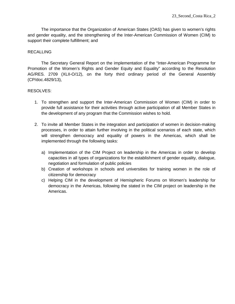The importance that the Organization of American States (OAS) has given to women's rights and gender equality, and the strengthening of the Inter-American Commission of Women (CIM) to support their complete fulfillment; and

# RECALLING

The Secretary General Report on the implementation of the "Inter-American Programme for Promotion of the Women's Rights and Gender Equity and Equality" according to the Resolution AG/RES. 2709 (XLII-O/12), on the forty third ordinary period of the General Assembly (CP/doc.4829/13),

- 1. To strengthen and support the Inter-American Commission of Women (CIM) in order to provide full assistance for their activities through active participation of all Member States in the development of any program that the Commission wishes to hold.
- 2. To invite all Member States in the integration and participation of women in decision-making processes, in order to attain further involving in the political scenarios of each state, which will strengthen democracy and equality of powers in the Americas, which shall be implemented through the following tasks:
	- a) Implementation of the CIM Project on leadership in the Americas in order to develop capacities in all types of organizations for the establishment of gender equality, dialogue, negotiation and formulation of public policies
	- b) Creation of workshops in schools and universities for training women in the role of citizenship for democracy
	- c) Helping CIM in the development of Hemispheric Forums on Women's leadership for democracy in the Americas, following the stated in the CIM project on leadership in the Americas.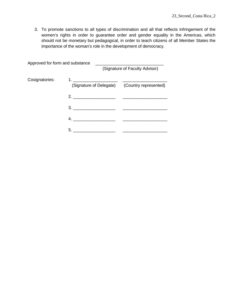3. To promote sanctions to all types of discrimination and all that reflects infringement of the women's rights in order to guarantee order and gender equality in the Americas, which should not be monetary but pedagogical, in order to teach citizens of all Member States the importance of the woman's role in the development of democracy.

| Approved for form and substance |                                               |  |  |
|---------------------------------|-----------------------------------------------|--|--|
|                                 | (Signature of Faculty Advisor)                |  |  |
| Cosignatories:                  |                                               |  |  |
|                                 | (Signature of Delegate) (Country represented) |  |  |
|                                 |                                               |  |  |
|                                 |                                               |  |  |
|                                 | 4.                                            |  |  |
|                                 | 5.                                            |  |  |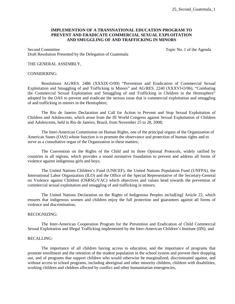## **IMPLEMENTION OF A TRANSNATIONAL EDUCATION PROGRAM TO PREVENT AND ERADICATE COMMERCIAL SEXUAL EXPLOITATION AND SMUGGLING OF AND TRAFFICKING IN MINORS**

Second Committee Topic No. 1 of the Agenda Draft Resolution Presented by the Delegation of Guatemala

#### THE GENERAL ASSEMBLY,

#### CONSIDERING:

Resolutions AG/RES. 2486 (XXXIX-O/09) "Prevention and Eradication of Commercial Sexual Exploitation and Smuggling of and Trafficking in Minors" and AG/RES. 2240 (XXXVI-O/06), "Combating the Commercial Sexual Exploitation and Smuggling of and Trafficking in Children in the Hemisphere" adopted by the OAS to prevent and eradicate the serious issue that is commercial exploitation and smuggling of and trafficking in minors in the Hemisphere;

The Rio de Janeiro Declaration and Call for Action to Prevent and Stop Sexual Exploitation of Children and Adolescents, which arose from the III World Congress against Sexual Exploitation of Children and Adolescents, held in Rio de Janeiro, Brazil, from November 25 to 28, 2008;

 The Inter-American Commission on Human Rights, one of the principal organs of the Organization of American States (OAS) whose function is to promote the observance and protection of human rights and to serve as a consultative organ of the Organization in these matters;

The Convention on the Rights of the Child and its three Optional Protocols, widely ratified by countries in all regions, which provides a sound normative foundation to prevent and address all forms of violence against indigenous girls and boys;

The United Nations Children's Fund (UNICEF), the United Nations Population Fund (UNFPA), the International Labor Organization (ILO) and the Office of the Special Representative of the Secretary-General on Violence against Children (OSRSG/VAC) which objectives and values head towards the prevention of commercial sexual exploitation and smuggling of and trafficking in minors;

The United Nations Declaration on the Rights of Indigenous Peoples includ[ing] Article 22, which ensures that indigenous women and children enjoy the full protection and guarantees against all forms of violence and discrimination;

#### RECOGNIZING:

The Inter-American Cooperation Program for the Prevention and Eradication of Child Commercial Sexual Exploitation and Illegal Trafficking implemented by the Inter-American Children's Institute (IIN); and

## RECALLING:

The importance of all children having access to education, and the importance of programs that promote enrollment and the retention of the student population in the school system and prevent their dropping out, and of programs that support children who would otherwise be marginalized, discriminated against, and without access to school programs, including aboriginal and other minority children, children with disabilities, working children and children affected by conflict and other humanitarian emergencies,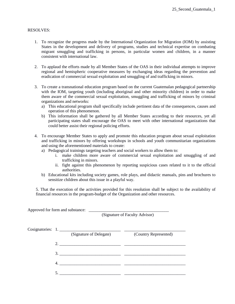## RESOLVES:

- 1. To recognize the progress made by the International Organization for Migration (IOM) by assisting States in the development and delivery of programs, studies and technical expertise on combating migrant smuggling and trafficking in persons, in particular women and children, in a manner consistent with international law.
- 2. To applaud the efforts made by all Member States of the OAS in their individual attempts to improve regional and hemispheric cooperative measures by exchanging ideas regarding the prevention and eradication of commercial sexual exploitation and smuggling of and trafficking in minors.
- 3. To create a transnational education program based on the current Guatemalan pedagogical partnership with the IOM, targeting youth (including aboriginal and other minority children) in order to make them aware of the commercial sexual exploitation, smuggling and trafficking of minors by criminal organizations and networks:
	- a) This educational program shall specifically include pertinent data of the consequences, causes and operation of this phenomenon.
	- b) This information shall be gathered by all Member States according to their resources, yet all participating states shall encourage the OAS to meet with other international organizations that could better assist their regional policing efforts.
- 4. To encourage Member States to apply and promote this education program about sexual exploitation and trafficking in minors by offering workshops in schools and youth communitarian organizations and using the aforementioned materials to create:
	- a) Pedagogical trainings targeting teachers and social workers to allow them to:
		- i. make children more aware of commercial sexual exploitation and smuggling of and trafficking in minors.
		- ii. fight against this phenomenon by reporting suspicious cases related to it to the official authorities.
	- b) Educational kits including society games, role plays, and didactic manuals, pins and brochures to sensitize children about this issue in a playful way.

5. That the execution of the activities provided for this resolution shall be subject to the availability of financial resources in the program-budget of the Organization and other resources.

|                                              | (Signature of Faculty Advisor) |
|----------------------------------------------|--------------------------------|
| Cosignatories: 1.<br>(Signature of Delegate) | (Country Represented)          |
| 2.                                           |                                |
|                                              |                                |
| 4.                                           |                                |
| 5                                            |                                |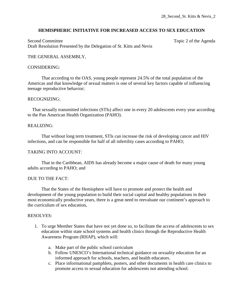# **HEMISPHERIC INITIATIVE FOR INCREASED ACCESS TO SEX EDUCATION**

Second Committee Topic 2 of the Agenda Draft Resolution Presented by the Delegation of St. Kitts and Nevis

# THE GENERAL ASSEMBLY,

# CONSIDERING:

That according to the OAS, young people represent 24.5% of the total population of the Americas and that knowledge of sexual matters is one of several key factors capable of influencing teenage reproductive behavior;

# RECOGNIZING:

 That sexually transmitted infections (STIs) affect one in every 20 adolescents every year according to the Pan American Health Organization (PAHO).

# REALIZING:

That without long term treatment, STIs can increase the risk of developing cancer and HIV infections, and can be responsible for half of all infertility cases according to PAHO;

# TAKING INTO ACCOUNT:

That in the Caribbean, AIDS has already become a major cause of death for many young adults according to PAHO; and

# DUE TO THE FACT:

That the States of the Hemisphere will have to promote and protect the health and development of the young population to build their social capital and healthy populations in their most economically productive years, there is a great need to reevaluate our continent's approach to the curriculum of sex education,

- 1. To urge Member States that have not yet done so, to facilitate the access of adolescents to sex education within state school systems and health clinics through the Reproductive Health Awareness Program (RHAP), which will:
	- a. Make part of the public school curriculum
	- b. Follow UNESCO's International technical guidance on sexuality education for an informed approach for schools, teachers, and health educators.
	- c. Place informational pamphlets, posters, and other documents in health care clinics to promote access to sexual education for adolescents not attending school.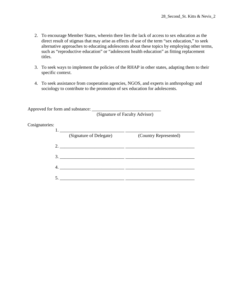- 2. To encourage Member States, wherein there lies the lack of access to sex education as the direct result of stigmas that may arise as effects of use of the term "sex education," to seek alternative approaches to educating adolescents about these topics by employing other terms, such as "reproductive education" or "adolescent health education" as fitting replacement titles.
- 3. To seek ways to implement the policies of the RHAP in other states, adapting them to their specific context.
- 4. To seek assistance from cooperation agencies, NGOS, and experts in anthropology and sociology to contribute to the promotion of sex education for adolescents.

|                |                         | (Signature of Faculty Advisor) |  |
|----------------|-------------------------|--------------------------------|--|
| Cosignatories: | 1. $\qquad \qquad$      |                                |  |
|                | (Signature of Delegate) | (Country Represented)          |  |
|                |                         |                                |  |
|                | $\overline{3}$ .        |                                |  |
|                | 4.                      |                                |  |
| 5.             |                         |                                |  |
|                |                         |                                |  |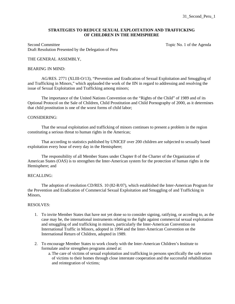## **STRATEGIES TO REDUCE SEXUAL EXPLOITATION AND TRAFFICKING OF CHILDREN IN THE HEMISPHERE**

Second Committee Topic No. 1 of the Agenda Topic No. 1 of the Agenda Draft Resolution Presented by the Delegation of Peru

## THE GENERAL ASSEMBLY,

#### BEARING IN MIND:

 AG/RES. 2771 (XLIII-O/13), "Prevention and Eradication of Sexual Exploitation and Smuggling of and Trafficking in Minors," which applauded the work of the IIN in regard to addressing and resolving the issue of Sexual Exploitation and Trafficking among minors;

 The importance of the United Nations Convention on the "Rights of the Child" of 1989 and of its Optional Protocol on the Sale of Children, Child Prostitution and Child Pornography of 2000, as it determines that child prostitution is one of the worst forms of child labor;

## CONSIDERING:

 That the sexual exploitation and trafficking of minors continues to present a problem in the region constituting a serious threat to human rights in the Americas;

That according to statistics published by UNICEF over 200 children are subjected to sexually based exploitation every hour of every day in the Hemisphere;

 The responsibility of all Member States under Chapter 8 of the Charter of the Organization of American States (OAS) is to strengthen the Inter-American system for the protection of human rights in the Hemisphere; and

## RECALLING:

 The adoption of resolution CD/RES. 10 (82-R/07), which established the Inter-American Program for the Prevention and Eradication of Commercial Sexual Exploitation and Smuggling of and Trafficking in Minors,

- 1. To invite Member States that have not yet done so to consider signing, ratifying, or acceding to, as the case may be, the international instruments relating to the fight against commercial sexual exploitation and smuggling of and trafficking in minors, particularly the Inter-American Convention on International Traffic in Minors, adopted in 1994 and the Inter-American Convention on the International Return of Children, adopted in 1989.
- 2. To encourage Member States to work closely with the Inter-American Children's Institute to formulate and/or strengthen programs aimed at:
	- a.The care of victims of sexual exploitation and trafficking in persons specifically the safe return of victims to their homes through close interstate cooperation and the successful rehabilitation and reintegration of victims;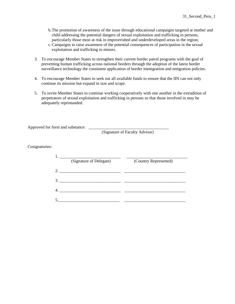- b.The promotion of awareness of the issue through educational campaigns targeted at mother and child addressing the potential dangers of sexual exploitation and trafficking in persons, particularly those most at risk in impoverished and underdeveloped areas in the region;
- c.Campaigns to raise awareness of the potential consequences of participation in the sexual exploitation and trafficking in minors.
- 3. To encourage Member States to strengthen their current border patrol programs with the goal of preventing human trafficking across national borders through the adoption of the latest border surveillance technology the consistent application of border immigration and emigration policies.
- 4. To encourage Member States to seek out all available funds to ensure that the IIN can not only continue its mission but expand in size and scope.
- 5. To invite Member States to continue working cooperatively with one another in the extradition of perpetrators of sexual exploitation and trafficking in persons so that those involved in may be adequately reprimanded.

Approved for form and substance:

(Signature of Faculty Advisor)

Cosignatories:

| (Signature of Delegate) | (Country Represented) |
|-------------------------|-----------------------|
|                         |                       |
| 3.                      |                       |
|                         |                       |
|                         |                       |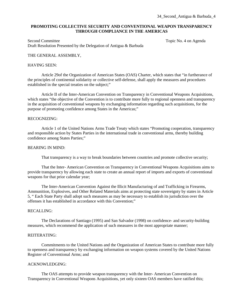## **PROMOTING COLLECTIVE SECURITY AND CONVENTIONAL WEAPON TRANSPARENCY THROUGH COMPLIANCE IN THE AMERICAS**

Second Committee Topic No. 4 on Agenda Draft Resolution Presented by the Delegation of Antigua & Barbuda

#### THE GENERAL ASSEMBLY,

#### HAVING SEEN:

Article 29of the Organization of American States (OAS) Charter, which states that "in furtherance of the principles of continental solidarity or collective self-defense, shall apply the measures and procedures established in the special treaties on the subject;"

Article II of the Inter-American Convention on Transparency in Conventional Weapons Acquisitions, which states "the objective of the Convention is to contribute more fully to regional openness and transparency in the acquisition of conventional weapons by exchanging information regarding such acquisitions, for the purpose of promoting confidence among States in the Americas;"

#### RECOGNIZING:

 Article 1 of the United Nations Arms Trade Treaty which states "Promoting cooperation, transparency and responsible action by States Parties in the international trade in conventional arms, thereby building confidence among States Parties;"

### BEARING IN MIND:

That transparency is a way to break boundaries between countries and promote collective security;

That the Inter- American Convention on Transparency in Conventional Weapons Acquisitions aims to provide transparency by allowing each state to create an annual report of imports and exports of conventional weapons for that prior calendar year;

 The Inter-American Convention Against the Illicit Manufacturing of and Trafficking in Firearms, Ammunition, Explosives, and Other Related Materials aims at protecting state sovereignty by states in Article 5, " Each State Party shall adopt such measures as may be necessary to establish its jurisdiction over the offenses it has established in accordance with this Convention;"

#### RECALLING:

The Declarations of Santiago (1995) and San Salvador (1998) on confidence- and security-building measures, which recommend the application of such measures in the most appropriate manner;

#### REITERATING:

Commitments to the United Nations and the Organization of American States to contribute more fully to openness and transparency by exchanging information on weapon systems covered by the United Nations Register of Conventional Arms; and

## ACKNOWLEDGING:

 The OAS attempts to provide weapon transparency with the Inter- American Convention on Transparency in Conventional Weapons Acquisitions, yet only sixteen OAS members have ratified this;